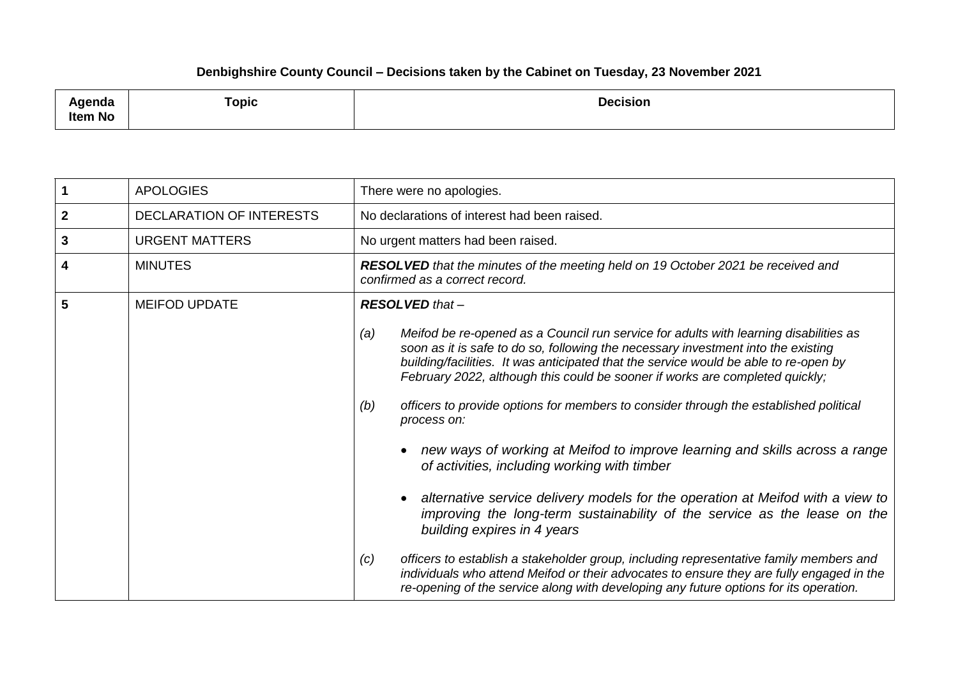## **Denbighshire County Council – Decisions taken by the Cabinet on Tuesday, 23 November 2021**

| مامد مرمر<br>agenaa<br><b>Item No</b> | Topic | <b>Decision</b> |
|---------------------------------------|-------|-----------------|
|---------------------------------------|-------|-----------------|

|             | <b>APOLOGIES</b>                | There were no apologies.                                                                                                                                                                                                                                                                                                                                                                                                                                                                                                                                                                                |
|-------------|---------------------------------|---------------------------------------------------------------------------------------------------------------------------------------------------------------------------------------------------------------------------------------------------------------------------------------------------------------------------------------------------------------------------------------------------------------------------------------------------------------------------------------------------------------------------------------------------------------------------------------------------------|
| $\mathbf 2$ | <b>DECLARATION OF INTERESTS</b> | No declarations of interest had been raised.                                                                                                                                                                                                                                                                                                                                                                                                                                                                                                                                                            |
| 3           | <b>URGENT MATTERS</b>           | No urgent matters had been raised.                                                                                                                                                                                                                                                                                                                                                                                                                                                                                                                                                                      |
| 4           | <b>MINUTES</b>                  | <b>RESOLVED</b> that the minutes of the meeting held on 19 October 2021 be received and<br>confirmed as a correct record.                                                                                                                                                                                                                                                                                                                                                                                                                                                                               |
| 5           | <b>MEIFOD UPDATE</b>            | <b>RESOLVED</b> that -                                                                                                                                                                                                                                                                                                                                                                                                                                                                                                                                                                                  |
|             |                                 | Meifod be re-opened as a Council run service for adults with learning disabilities as<br>(a)<br>soon as it is safe to do so, following the necessary investment into the existing<br>building/facilities. It was anticipated that the service would be able to re-open by<br>February 2022, although this could be sooner if works are completed quickly;<br>officers to provide options for members to consider through the established political<br>(b)<br>process on:<br>new ways of working at Meifod to improve learning and skills across a range<br>of activities, including working with timber |
|             |                                 | alternative service delivery models for the operation at Meifod with a view to<br>improving the long-term sustainability of the service as the lease on the<br>building expires in 4 years                                                                                                                                                                                                                                                                                                                                                                                                              |
|             |                                 | officers to establish a stakeholder group, including representative family members and<br>(c)<br>individuals who attend Meifod or their advocates to ensure they are fully engaged in the<br>re-opening of the service along with developing any future options for its operation.                                                                                                                                                                                                                                                                                                                      |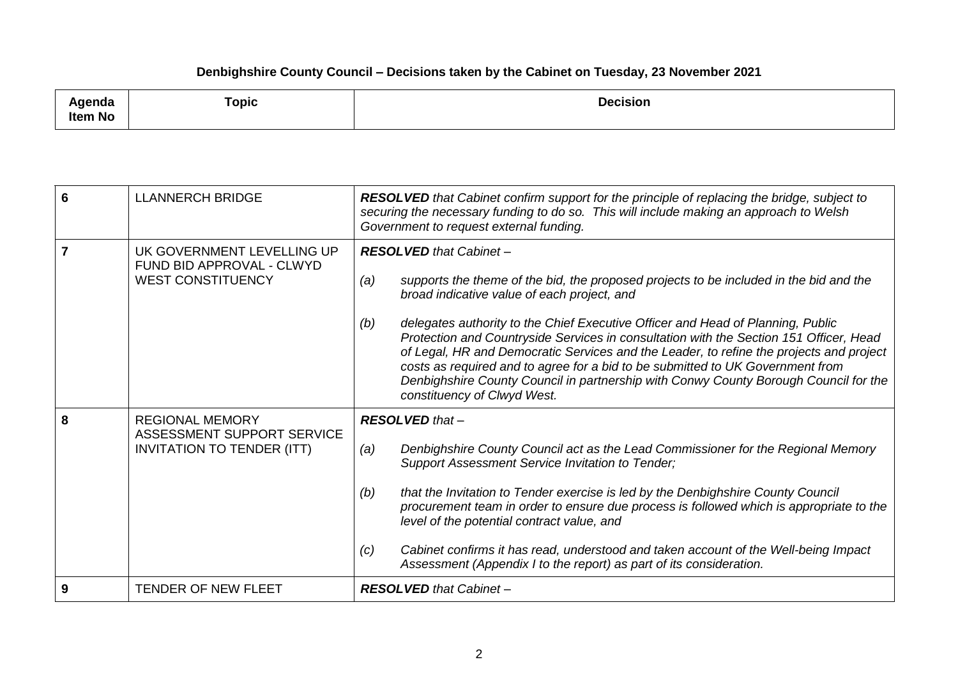## **Denbighshire County Council – Decisions taken by the Cabinet on Tuesday, 23 November 2021**

| .<br>nua<br><b>Item No</b> | Topic | <b>Decision</b> |
|----------------------------|-------|-----------------|
|----------------------------|-------|-----------------|

| 6 | <b>LLANNERCH BRIDGE</b>                                                                   | <b>RESOLVED</b> that Cabinet confirm support for the principle of replacing the bridge, subject to<br>securing the necessary funding to do so. This will include making an approach to Welsh<br>Government to request external funding.                                                                                                                                                                                                                                                                                                                                                                                                                                |
|---|-------------------------------------------------------------------------------------------|------------------------------------------------------------------------------------------------------------------------------------------------------------------------------------------------------------------------------------------------------------------------------------------------------------------------------------------------------------------------------------------------------------------------------------------------------------------------------------------------------------------------------------------------------------------------------------------------------------------------------------------------------------------------|
| 7 | UK GOVERNMENT LEVELLING UP<br>FUND BID APPROVAL - CLWYD<br><b>WEST CONSTITUENCY</b>       | <b>RESOLVED</b> that Cabinet -<br>(a)<br>supports the theme of the bid, the proposed projects to be included in the bid and the<br>broad indicative value of each project, and<br>delegates authority to the Chief Executive Officer and Head of Planning, Public<br>(b)<br>Protection and Countryside Services in consultation with the Section 151 Officer, Head<br>of Legal, HR and Democratic Services and the Leader, to refine the projects and project<br>costs as required and to agree for a bid to be submitted to UK Government from<br>Denbighshire County Council in partnership with Conwy County Borough Council for the<br>constituency of Clwyd West. |
| 8 | <b>REGIONAL MEMORY</b><br>ASSESSMENT SUPPORT SERVICE<br><b>INVITATION TO TENDER (ITT)</b> | <b>RESOLVED</b> that -<br>Denbighshire County Council act as the Lead Commissioner for the Regional Memory<br>(a)<br>Support Assessment Service Invitation to Tender;<br>that the Invitation to Tender exercise is led by the Denbighshire County Council<br>(b)<br>procurement team in order to ensure due process is followed which is appropriate to the<br>level of the potential contract value, and<br>Cabinet confirms it has read, understood and taken account of the Well-being Impact<br>(c)<br>Assessment (Appendix I to the report) as part of its consideration.                                                                                         |
| 9 | <b>TENDER OF NEW FLEET</b>                                                                | <b>RESOLVED</b> that Cabinet -                                                                                                                                                                                                                                                                                                                                                                                                                                                                                                                                                                                                                                         |